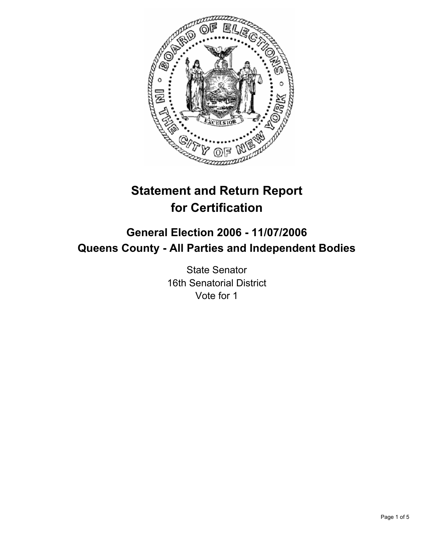

# **Statement and Return Report for Certification**

## **General Election 2006 - 11/07/2006 Queens County - All Parties and Independent Bodies**

State Senator 16th Senatorial District Vote for 1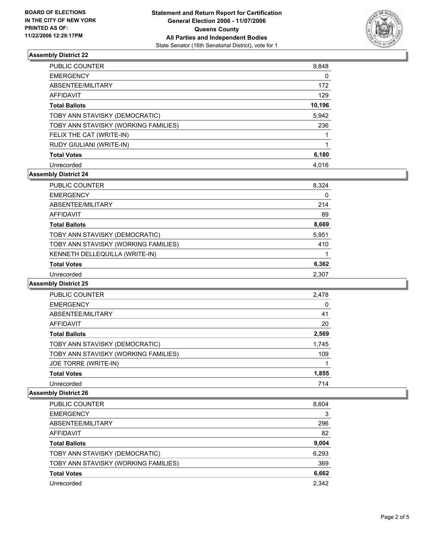

#### **Assembly District 22**

| <b>PUBLIC COUNTER</b>                | 9,848  |
|--------------------------------------|--------|
| <b>EMERGENCY</b>                     |        |
| ABSENTEE/MILITARY                    | 172    |
| AFFIDAVIT                            | 129    |
| <b>Total Ballots</b>                 | 10,196 |
| TOBY ANN STAVISKY (DEMOCRATIC)       | 5,942  |
| TOBY ANN STAVISKY (WORKING FAMILIES) | 236    |
| FELIX THE CAT (WRITE-IN)             |        |
| RUDY GIULIANI (WRITE-IN)             |        |
| <b>Total Votes</b>                   | 6,180  |
| Unrecorded                           | 4,016  |

### **Assembly District 24**

| PUBLIC COUNTER                       | 8,324 |
|--------------------------------------|-------|
| <b>EMERGENCY</b>                     | 0     |
| ABSENTEE/MILITARY                    | 214   |
| AFFIDAVIT                            | 89    |
| <b>Total Ballots</b>                 | 8,669 |
| TOBY ANN STAVISKY (DEMOCRATIC)       | 5,951 |
| TOBY ANN STAVISKY (WORKING FAMILIES) | 410   |
| KENNETH DELLEQUILLA (WRITE-IN)       |       |
| <b>Total Votes</b>                   | 6,362 |
| Unrecorded                           | 2,307 |

#### **Assembly District 25**

| PUBLIC COUNTER                       | 2,478 |  |
|--------------------------------------|-------|--|
| <b>EMERGENCY</b>                     | 0     |  |
| ABSENTEE/MILITARY                    | 41    |  |
| AFFIDAVIT                            | 20    |  |
| <b>Total Ballots</b>                 | 2,569 |  |
| TOBY ANN STAVISKY (DEMOCRATIC)       | 1,745 |  |
| TOBY ANN STAVISKY (WORKING FAMILIES) | 109   |  |
| JOE TORRE (WRITE-IN)                 |       |  |
| <b>Total Votes</b>                   | 1,855 |  |
| Unrecorded                           | 714   |  |

#### **Assembly District 26**

| <b>PUBLIC COUNTER</b>                | 8,604 |
|--------------------------------------|-------|
| <b>EMERGENCY</b>                     | 3     |
| ABSENTEE/MILITARY                    | 296   |
| AFFIDAVIT                            | 82    |
| <b>Total Ballots</b>                 | 9,004 |
| TOBY ANN STAVISKY (DEMOCRATIC)       | 6,293 |
| TOBY ANN STAVISKY (WORKING FAMILIES) | 369   |
| <b>Total Votes</b>                   | 6,662 |
| Unrecorded                           | 2,342 |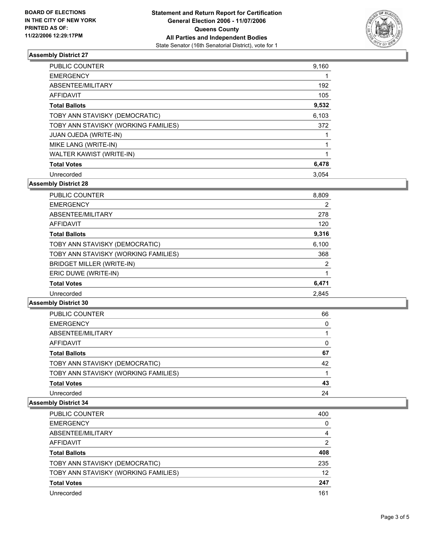

#### **Assembly District 27**

| <b>PUBLIC COUNTER</b>                | 9,160 |
|--------------------------------------|-------|
| <b>EMERGENCY</b>                     |       |
| ABSENTEE/MILITARY                    | 192   |
| <b>AFFIDAVIT</b>                     | 105   |
| <b>Total Ballots</b>                 | 9,532 |
| TOBY ANN STAVISKY (DEMOCRATIC)       | 6,103 |
| TOBY ANN STAVISKY (WORKING FAMILIES) | 372   |
| <b>JUAN OJEDA (WRITE-IN)</b>         |       |
| MIKE LANG (WRITE-IN)                 |       |
| WALTER KAWIST (WRITE-IN)             |       |
| <b>Total Votes</b>                   | 6,478 |
| Unrecorded                           | 3.054 |

**Assembly District 28**

| <b>PUBLIC COUNTER</b>                | 8,809 |  |
|--------------------------------------|-------|--|
| <b>EMERGENCY</b>                     | 2     |  |
| ABSENTEE/MILITARY                    | 278   |  |
| AFFIDAVIT                            | 120   |  |
| <b>Total Ballots</b>                 | 9,316 |  |
| TOBY ANN STAVISKY (DEMOCRATIC)       | 6,100 |  |
| TOBY ANN STAVISKY (WORKING FAMILIES) | 368   |  |
| BRIDGET MILLER (WRITE-IN)            | 2     |  |
| ERIC DUWE (WRITE-IN)                 |       |  |
| <b>Total Votes</b>                   | 6,471 |  |
| Unrecorded                           | 2.845 |  |

#### **Assembly District 30**

| <b>PUBLIC COUNTER</b>                | 66 |  |
|--------------------------------------|----|--|
| <b>EMERGENCY</b>                     |    |  |
| ABSENTEE/MILITARY                    |    |  |
| AFFIDAVIT                            |    |  |
| <b>Total Ballots</b>                 | 67 |  |
| TOBY ANN STAVISKY (DEMOCRATIC)       | 42 |  |
| TOBY ANN STAVISKY (WORKING FAMILIES) |    |  |
| <b>Total Votes</b>                   | 43 |  |
| Unrecorded                           | 24 |  |

#### **Assembly District 34**

| PUBLIC COUNTER                       | 400 |
|--------------------------------------|-----|
| <b>EMERGENCY</b>                     |     |
| ABSENTEE/MILITARY                    |     |
| AFFIDAVIT                            | າ   |
| <b>Total Ballots</b>                 | 408 |
| TOBY ANN STAVISKY (DEMOCRATIC)       | 235 |
| TOBY ANN STAVISKY (WORKING FAMILIES) | 12  |
| <b>Total Votes</b>                   | 247 |
| Unrecorded                           | 161 |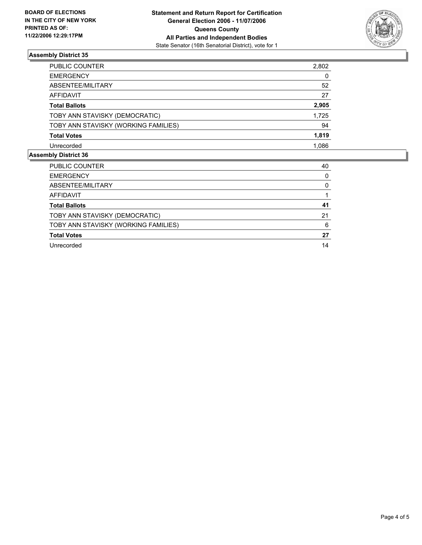

### **Assembly District 35**

| PUBLIC COUNTER                       | 2,802 |
|--------------------------------------|-------|
| <b>EMERGENCY</b>                     | 0     |
| ABSENTEE/MILITARY                    | 52    |
| AFFIDAVIT                            | 27    |
| <b>Total Ballots</b>                 | 2,905 |
| TOBY ANN STAVISKY (DEMOCRATIC)       | 1,725 |
| TOBY ANN STAVISKY (WORKING FAMILIES) | 94    |
| <b>Total Votes</b>                   | 1,819 |
| Unrecorded                           | 1,086 |

#### **Assembly District 36**

| PUBLIC COUNTER                       | 40 |
|--------------------------------------|----|
| <b>EMERGENCY</b>                     |    |
| ABSENTEE/MILITARY                    |    |
| <b>AFFIDAVIT</b>                     |    |
| <b>Total Ballots</b>                 | 41 |
| TOBY ANN STAVISKY (DEMOCRATIC)       | 21 |
| TOBY ANN STAVISKY (WORKING FAMILIES) | 6  |
| <b>Total Votes</b>                   | 27 |
| Unrecorded                           | 14 |